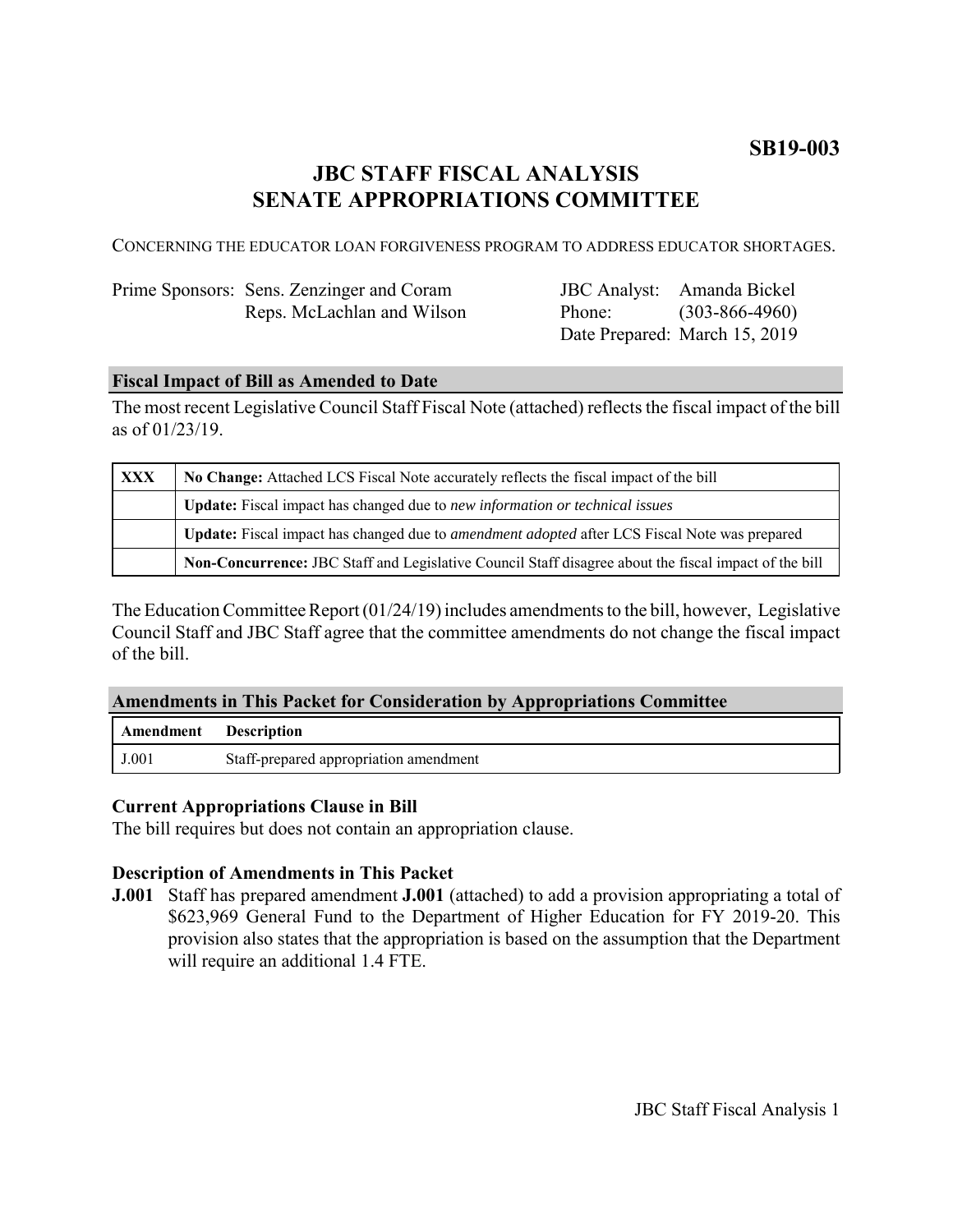# **SB19-003**

# **JBC STAFF FISCAL ANALYSIS SENATE APPROPRIATIONS COMMITTEE**

CONCERNING THE EDUCATOR LOAN FORGIVENESS PROGRAM TO ADDRESS EDUCATOR SHORTAGES.

| Prime Sponsors: Sens. Zenzinger and Coram |
|-------------------------------------------|
| Reps. McLachlan and Wilson                |

JBC Analyst: Amanda Bickel Phone: Date Prepared: March 15, 2019 (303-866-4960)

### **Fiscal Impact of Bill as Amended to Date**

The most recent Legislative Council Staff Fiscal Note (attached) reflects the fiscal impact of the bill as of 01/23/19.

| <b>XXX</b> | No Change: Attached LCS Fiscal Note accurately reflects the fiscal impact of the bill                 |  |
|------------|-------------------------------------------------------------------------------------------------------|--|
|            | <b>Update:</b> Fiscal impact has changed due to new information or technical issues                   |  |
|            | Update: Fiscal impact has changed due to <i>amendment adopted</i> after LCS Fiscal Note was prepared  |  |
|            | Non-Concurrence: JBC Staff and Legislative Council Staff disagree about the fiscal impact of the bill |  |

The Education Committee Report (01/24/19) includes amendments to the bill, however, Legislative Council Staff and JBC Staff agree that the committee amendments do not change the fiscal impact of the bill.

### **Amendments in This Packet for Consideration by Appropriations Committee**

| <b>Amendment</b> Description |                                        |
|------------------------------|----------------------------------------|
| J.001                        | Staff-prepared appropriation amendment |

### **Current Appropriations Clause in Bill**

The bill requires but does not contain an appropriation clause.

## **Description of Amendments in This Packet**

**J.001** Staff has prepared amendment **J.001** (attached) to add a provision appropriating a total of \$623,969 General Fund to the Department of Higher Education for FY 2019-20. This provision also states that the appropriation is based on the assumption that the Department will require an additional 1.4 FTE.